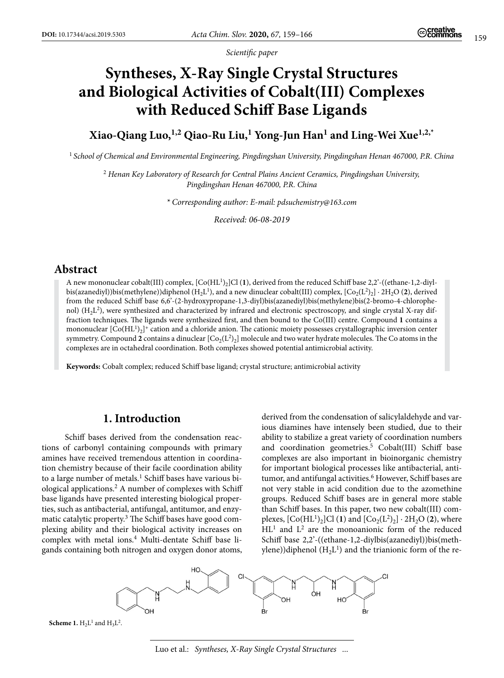*Scientific paper*

# **Syntheses, X-Ray Single Crystal Structures and Biological Activities of Cobalt(III) Complexes with Reduced Schiff Base Ligands**

**Xiao-Qiang Luo,1,2 Qiao-Ru Liu,1 Yong-Jun Han1 and Ling-Wei Xue1,2,\***

<sup>1</sup>*School of Chemical and Environmental Engineering, Pingdingshan University, Pingdingshan Henan 467000, P.R. China*

<sup>2</sup> *Henan Key Laboratory of Research for Central Plains Ancient Ceramics, Pingdingshan University, Pingdingshan Henan 467000, P.R. China*

*\* Corresponding author: E-mail: pdsuchemistry@163.com*

*Received: 06-08-2019*

## **Abstract**

A new mononuclear cobalt(III) complex, [Co(HL1)2]Cl (**1**), derived from the reduced Schiff base 2,2'-((ethane-1,2-diylbis(azanediyl))bis(methylene))diphenol (H<sub>2</sub>L<sup>1</sup>), and a new dinuclear cobalt(III) complex, [Co<sub>2</sub>(L<sup>2</sup>)<sub>2</sub>] ⋅ 2H<sub>2</sub>O (2), derived from the reduced Schiff base 6,6'-(2-hydroxypropane-1,3-diyl)bis(azanediyl)bis(methylene)bis(2-bromo-4-chlorophenol) (H2L2), were synthesized and characterized by infrared and electronic spectroscopy, and single crystal X-ray diffraction techniques. The ligands were synthesized first, and then bound to the Co(III) centre. Compound **1** contains a mononuclear  $[Co(HL<sup>1</sup>)<sub>2</sub>]<sup>+</sup>$  cation and a chloride anion. The cationic moiety possesses crystallographic inversion center symmetry. Compound 2 contains a dinuclear  $[C_2(L^2)_2]$  molecule and two water hydrate molecules. The Co atoms in the complexes are in octahedral coordination. Both complexes showed potential antimicrobial activity.

**Keywords:** Cobalt complex; reduced Schiff base ligand; crystal structure; antimicrobial activity

## **1. Introduction**

 Schiff bases derived from the condensation reactions of carbonyl containing compounds with primary amines have received tremendous attention in coordination chemistry because of their facile coordination ability to a large number of metals.<sup>1</sup> Schiff bases have various biological applications.2 A number of complexes with Schiff base ligands have presented interesting biological properties, such as antibacterial, antifungal, antitumor, and enzymatic catalytic property.<sup>3</sup> The Schiff bases have good complexing ability and their biological activity increases on complex with metal ions.<sup>4</sup> Multi-dentate Schiff base ligands containing both nitrogen and oxygen donor atoms, derived from the condensation of salicylaldehyde and various diamines have intensely been studied, due to their ability to stabilize a great variety of coordination numbers and coordination geometries.<sup>5</sup> Cobalt(III) Schiff base complexes are also important in bioinorganic chemistry for important biological processes like antibacterial, antitumor, and antifungal activities.<sup>6</sup> However, Schiff bases are not very stable in acid condition due to the azomethine groups. Reduced Schiff bases are in general more stable than Schiff bases. In this paper, two new cobalt(III) complexes,  $[Co(HL<sup>1</sup>)<sub>2</sub>]Cl (1)$  and  $[Co<sub>2</sub>(L<sup>2</sup>)<sub>2</sub>] · 2H<sub>2</sub>O (2)$ , where HL<sup>1</sup> and L<sup>2</sup> are the monoanionic form of the reduced Schiff base 2,2'-((ethane-1,2-diylbis(azanediyl))bis(methylene))diphenol  $(H<sub>2</sub>L<sup>1</sup>)$  and the trianionic form of the re-



**Scheme 1.**  $H_2L^1$  and  $H_3L^2$ .

Luo et al.: *Syntheses, X-Ray Single Crystal Structures ...*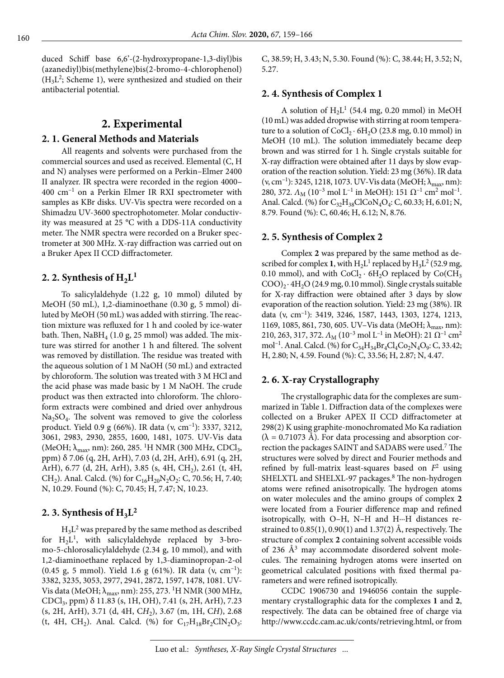duced Schiff base 6,6'-(2-hydroxypropane-1,3-diyl)bis (azanediyl)bis(methylene)bis(2-bromo-4-chlorophenol)  $(H<sub>3</sub>L<sup>2</sup>;$  Scheme 1), were synthesized and studied on their antibacterial potential.

## **2. Experimental**

#### **2. 1. General Methods and Materials**

All reagents and solvents were purchased from the commercial sources and used as received. Elemental (C, H and N) analyses were performed on a Perkin–Elmer 2400 II analyzer. IR spectra were recorded in the region 4000– 400 cm–1 on a Perkin Elmer IR RXI spectrometer with samples as KBr disks. UV-Vis spectra were recorded on a Shimadzu UV-3600 spectrophotometer. Molar conductivity was measured at 25 °C with a DDS-11A conductivity meter. The NMR spectra were recorded on a Bruker spectrometer at 300 MHz. X-ray diffraction was carried out on a Bruker Apex II CCD diffractometer.

### 2. 2. Synthesis of  $H_2L<sup>1</sup>$

To salicylaldehyde (1.22 g, 10 mmol) diluted by MeOH (50 mL), 1,2-diaminoethane (0.30 g, 5 mmol) diluted by MeOH (50 mL) was added with stirring. The reaction mixture was refluxed for 1 h and cooled by ice-water bath. Then,  $NaBH<sub>4</sub>$  (1.0 g, 25 mmol) was added. The mixture was stirred for another 1 h and filtered. The solvent was removed by distillation. The residue was treated with the aqueous solution of 1 M NaOH (50 mL) and extracted by chloroform. The solution was treated with 3 M HCl and the acid phase was made basic by 1 M NaOH. The crude product was then extracted into chloroform. The chloroform extracts were combined and dried over anhydrous  $Na<sub>2</sub>SO<sub>4</sub>$ . The solvent was removed to give the colorless product. Yield 0.9 g (66%). IR data ( $v, \text{ cm}^{-1}$ ): 3337, 3212, 3061, 2983, 2930, 2855, 1600, 1481, 1075. UV-Vis data (MeOH;  $\lambda_{\text{max}}$ , nm): 260, 285. <sup>1</sup>H NMR (300 MHz, CDCl<sub>3</sub>, ppm) δ 7.06 (q, 2H, ArH), 7.03 (d, 2H, ArH), 6.91 (q, 2H, ArH), 6.77 (d, 2H, ArH), 3.85 (s, 4H, CH<sub>2</sub>), 2.61 (t, 4H, CH<sub>2</sub>). Anal. Calcd. (%) for C<sub>16</sub>H<sub>20</sub>N<sub>2</sub>O<sub>2</sub>: C, 70.56; H, 7.40; N, 10.29. Found (%): C, 70.45; H, 7.47; N, 10.23.

## 2. 3. Synthesis of  $H_3L^2$

 $H_3L^2$  was prepared by the same method as described for  $H_2L^1$ , with salicylaldehyde replaced by 3-bromo-5-chlorosalicylaldehyde (2.34 g, 10 mmol), and with 1,2-diaminoethane replaced by 1,3-diaminopropan-2-ol (0.45 g, 5 mmol). Yield 1.6 g (61%). IR data (ν, cm–1): 3382, 3235, 3053, 2977, 2941, 2872, 1597, 1478, 1081. UV-Vis data (MeOH;  $\lambda_{\text{max}}$ , nm): 255, 273. <sup>1</sup>H NMR (300 MHz, CDCl3, ppm) δ 11.83 (s, 1H, OH), 7.41 (s, 2H, ArH), 7.23 (s, 2H, ArH), 3.71 (d, 4H, C*H*2), 3.67 (m, 1H, C*H*), 2.68 (t, 4H, CH<sub>2</sub>). Anal. Calcd. (%) for  $C_{17}H_{18}Br_2ClN_2O_3$ : C, 38.59; H, 3.43; N, 5.30. Found (%): C, 38.44; H, 3.52; N, 5.27.

#### **2. 4. Synthesis of Complex 1**

A solution of  $H_2L^1$  (54.4 mg, 0.20 mmol) in MeOH (10 mL) was added dropwise with stirring at room temperature to a solution of  $CoCl<sub>2</sub> · 6H<sub>2</sub>O$  (23.8 mg, 0.10 mmol) in MeOH (10 mL). The solution immediately became deep brown and was stirred for 1 h. Single crystals suitable for X-ray diffraction were obtained after 11 days by slow evaporation of the reaction solution. Yield: 23 mg (36%). IR data (v, cm<sup>-1</sup>): 3245, 1218, 1073. UV-Vis data (MeOH;  $\lambda_{\text{max}}$ , nm): 280, 372.  $\Lambda_M$  (10<sup>-3</sup> mol L<sup>-1</sup> in MeOH): 151  $\Omega^{-1}$  cm<sup>2</sup> mol<sup>-1</sup>. Anal. Calcd. (%) for  $C_{32}H_{38}CICoN_4O_4$ : C, 60.33; H, 6.01; N, 8.79. Found (%): C, 60.46; H, 6.12; N, 8.76.

#### **2. 5. Synthesis of Complex 2**

Complex **2** was prepared by the same method as described for complex **1**, with  $H_2L^1$  replaced by  $H_3L^2$  (52.9 mg, 0.10 mmol), and with  $CoCl<sub>2</sub> \cdot 6H<sub>2</sub>O$  replaced by  $Co(CH<sub>3</sub>)$  $COO$ <sub>24.9</sub> mg, 0.10 mmol). Single crystals suitable for X-ray diffraction were obtained after 3 days by slow evaporation of the reaction solution. Yield: 23 mg (38%). IR data (ν, cm–1): 3419, 3246, 1587, 1443, 1303, 1274, 1213, 1169, 1085, 861, 730, 605. UV–Vis data (MeOH;  $\lambda_{\text{max}}$ , nm): 210, 263, 317, 372. *Λ*<sub>M</sub> (10<sup>-3</sup> mol L<sup>-1</sup> in MeOH): 21 Ω<sup>-1</sup> cm<sup>2</sup> mol<sup>-1</sup>. Anal. Calcd. (%) for  $C_{34}H_{34}Br_4Cl_4Co_2N_4O_9$ : C, 33.42; H, 2.80; N, 4.59. Found (%): C, 33.56; H, 2.87; N, 4.47.

#### **2. 6. X-ray Crystallography**

The crystallographic data for the complexes are summarized in Table 1. Diffraction data of the complexes were collected on a Bruker APEX II CCD diffractometer at 298(2) K using graphite-monochromated Mo Kα radiation  $(\lambda = 0.71073 \text{ Å})$ . For data processing and absorption correction the packages SAINT and SADABS were used.7 The structures were solved by direct and Fourier methods and refined by full-matrix least-squares based on  $F<sup>2</sup>$  using SHELXTL and SHELXL-97 packages.<sup>8</sup> The non-hydrogen atoms were refined anisotropically. The hydrogen atoms on water molecules and the amino groups of complex **2** were located from a Fourier difference map and refined isotropically, with O–H, N–H and H···H distances restrained to 0.85(1), 0.90(1) and 1.37(2) Å, respectively. The structure of complex **2** containing solvent accessible voids of 236  $\AA$ <sup>3</sup> may accommodate disordered solvent molecules. The remaining hydrogen atoms were inserted on geometrical calculated positions with fixed thermal parameters and were refined isotropically.

CCDC 1906730 and 1946056 contain the supplementary crystallographic data for the complexes **1** and **2**, respectively. The data can be obtained free of charge via http://www.ccdc.cam.ac.uk/conts/retrieving.html, or from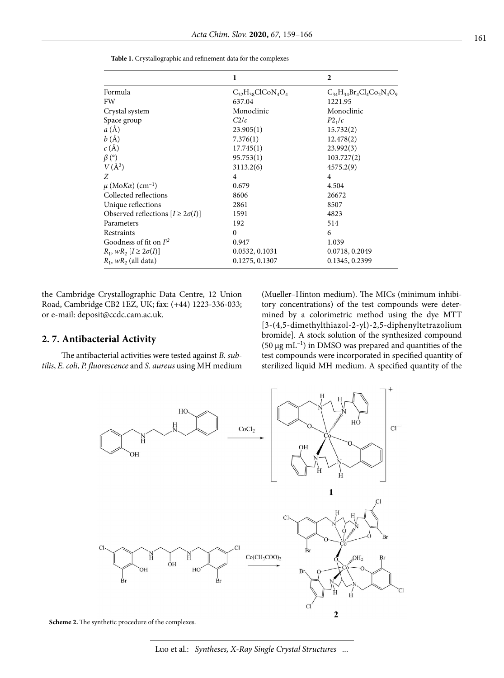|                                            | 1                        | $\overline{2}$                   |
|--------------------------------------------|--------------------------|----------------------------------|
| Formula                                    | $C_{32}H_{38}CICoN_4O_4$ | $C_{34}H_{34}Br_4Cl_4Co_2N_4O_9$ |
| FW                                         | 637.04                   | 1221.95                          |
| Crystal system                             | Monoclinic               | Monoclinic                       |
| Space group                                | C2/c                     | P2 <sub>1</sub> /c               |
| $a(\AA)$                                   | 23.905(1)                | 15.732(2)                        |
| b(A)                                       | 7.376(1)                 | 12.478(2)                        |
| $c(\AA)$                                   | 17.745(1)                | 23.992(3)                        |
| $\beta$ (°)                                | 95.753(1)                | 103.727(2)                       |
| $V(\AA^3)$                                 | 3113.2(6)                | 4575.2(9)                        |
| Z                                          | $\overline{4}$           | $\overline{4}$                   |
| $\mu$ (MoKa) (cm <sup>-1</sup> )           | 0.679                    | 4.504                            |
| Collected reflections                      | 8606                     | 26672                            |
| Unique reflections                         | 2861                     | 8507                             |
| Observed reflections $[I \geq 2\sigma(I)]$ | 1591                     | 4823                             |
| Parameters                                 | 192                      | 514                              |
| Restraints                                 | $\Omega$                 | 6                                |
| Goodness of fit on $F^2$                   | 0.947                    | 1.039                            |
| $R_1$ , $wR_2$ $[I \geq 2\sigma(I)]$       | 0.0532, 0.1031           | 0.0718, 0.2049                   |
| $R_1$ , w $R_2$ (all data)                 | 0.1275, 0.1307           | 0.1345, 0.2399                   |

**Table 1.** Crystallographic and refinement data for the complexes

the Cambridge Crystallographic Data Centre, 12 Union Road, Cambridge CB2 1EZ, UK; fax: (+44) 1223-336-033; or e-mail: deposit@ccdc.cam.ac.uk.

#### **2. 7. Antibacterial Activity**

The antibacterial activities were tested against *B. subtilis*, *E. coli*, *P. fluorescence* and *S. aureus* using MH medium (Mueller–Hinton medium). The MICs (minimum inhibitory concentrations) of the test compounds were determined by a colorimetric method using the dye MTT [3-(4,5-dimethylthiazol-2-yl)-2,5-diphenyltetrazolium bromide]. A stock solution of the synthesized compound (50  $\mu$ g mL<sup>-1</sup>) in DMSO was prepared and quantities of the test compounds were incorporated in specified quantity of sterilized liquid MH medium. A specified quantity of the



**Scheme 2.** The synthetic procedure of the complexes.

Luo et al.: *Syntheses, X-Ray Single Crystal Structures ...*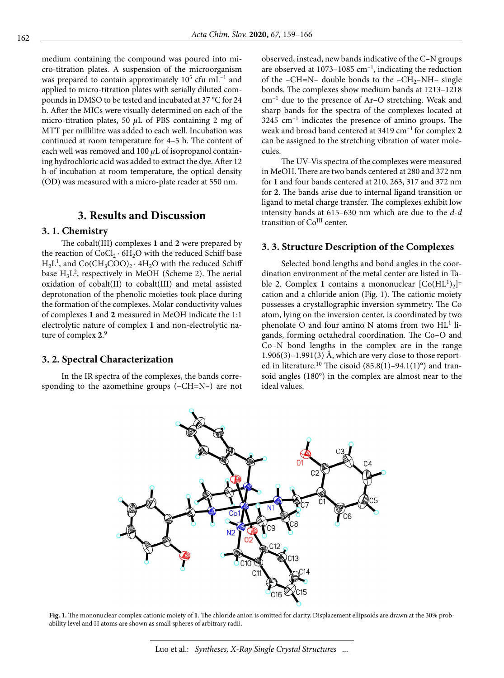medium containing the compound was poured into micro-titration plates. A suspension of the microorganism was prepared to contain approximately  $10^5$  cfu mL<sup>-1</sup> and applied to micro-titration plates with serially diluted compounds in DMSO to be tested and incubated at 37 °C for 24 h. After the MICs were visually determined on each of the micro-titration plates, 50 *μ*L of PBS containing 2 mg of MTT per millilitre was added to each well. Incubation was continued at room temperature for 4–5 h. The content of each well was removed and 100 *μ*L of isopropanol containing hydrochloric acid was added to extract the dye. After 12 h of incubation at room temperature, the optical density (OD) was measured with a micro-plate reader at 550 nm.

# **3. Results and Discussion**

#### **3. 1. Chemistry**

The cobalt(III) complexes **1** and **2** were prepared by the reaction of  $CoCl_2 \cdot 6H_2O$  with the reduced Schiff base  $H<sub>2</sub>L<sup>1</sup>$ , and Co(CH<sub>3</sub>COO)<sub>2</sub> · 4H<sub>2</sub>O with the reduced Schiff base  $H_3L^2$ , respectively in MeOH (Scheme 2). The aerial oxidation of cobalt(II) to cobalt(III) and metal assisted deprotonation of the phenolic moieties took place during the formation of the complexes. Molar conductivity values of complexes **1** and **2** measured in MeOH indicate the 1:1 electrolytic nature of complex **1** and non-electrolytic nature of complex **2**. 9

#### **3. 2. Spectral Characterization**

In the IR spectra of the complexes, the bands corresponding to the azomethine groups (–CH=N–) are not observed, instead, new bands indicative of the C–N groups are observed at  $1073-1085$  cm<sup>-1</sup>, indicating the reduction of the –CH=N– double bonds to the –CH<sub>2</sub>–NH– single bonds. The complexes show medium bands at 1213–1218 cm–1 due to the presence of Ar–O stretching. Weak and sharp bands for the spectra of the complexes located at 3245 cm–1 indicates the presence of amino groups. The weak and broad band centered at 3419 cm–1 for complex **2** can be assigned to the stretching vibration of water molecules.

The UV-Vis spectra of the complexes were measured in MeOH. There are two bands centered at 280 and 372 nm for **1** and four bands centered at 210, 263, 317 and 372 nm for **2**. The bands arise due to internal ligand transition or ligand to metal charge transfer. The complexes exhibit low intensity bands at 615–630 nm which are due to the *d*-*d* transition of Co<sup>III</sup> center.

#### **3. 3. Structure Description of the Complexes**

Selected bond lengths and bond angles in the coordination environment of the metal center are listed in Table 2. Complex 1 contains a mononuclear  $[Co(HL<sup>1</sup>)<sub>2</sub>]$ <sup>+</sup> cation and a chloride anion (Fig. 1). The cationic moiety possesses a crystallographic inversion symmetry. The Co atom, lying on the inversion center, is coordinated by two phenolate O and four amino N atoms from two  $HL^1$  ligands, forming octahedral coordination. The Co–O and Co–N bond lengths in the complex are in the range 1.906(3)–1.991(3) Å, which are very close to those reported in literature.<sup>10</sup> The cisoid  $(85.8(1)-94.1(1)°)$  and transoid angles (180°) in the complex are almost near to the ideal values.



**Fig. 1.** The mononuclear complex cationic moiety of **1**. The chloride anion is omitted for clarity. Displacement ellipsoids are drawn at the 30% probability level and H atoms are shown as small spheres of arbitrary radii.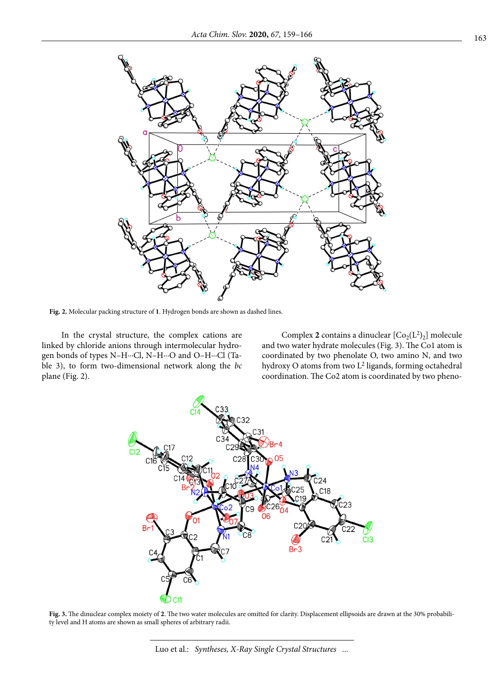

**Fig. 2.** Molecular packing structure of **1**. Hydrogen bonds are shown as dashed lines.

In the crystal structure, the complex cations are linked by chloride anions through intermolecular hydrogen bonds of types N–H∙∙∙Cl, N–H∙∙∙O and O–H∙∙∙Cl (Table 3), to form two-dimensional network along the *bc* plane (Fig. 2).

Complex 2 contains a dinuclear  $[Co_2(L^2)_2]$  molecule and two water hydrate molecules (Fig. 3). The Co1 atom is coordinated by two phenolate O, two amino N, and two hydroxy O atoms from two L2 ligands, forming octahedral coordination. The Co2 atom is coordinated by two pheno-



**Fig. 3.** The dinuclear complex moiety of **2**. The two water molecules are omitted for clarity. Displacement ellipsoids are drawn at the 30% probability level and H atoms are shown as small spheres of arbitrary radii.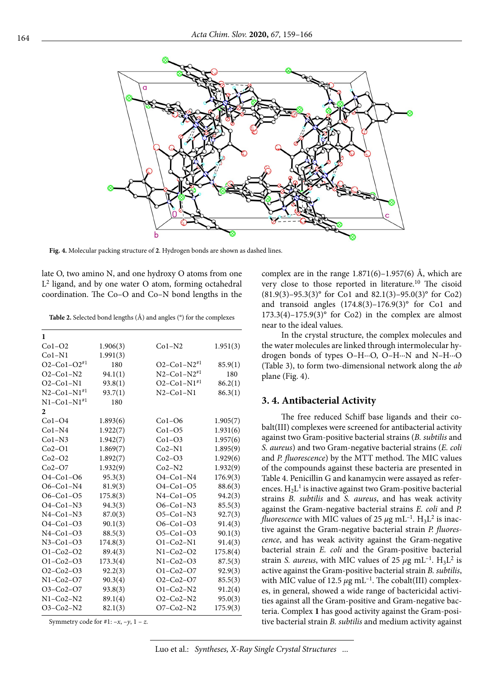

**Fig. 4.** Molecular packing structure of **2**. Hydrogen bonds are shown as dashed lines.

late O, two amino N, and one hydroxy O atoms from one  $L<sup>2</sup>$  ligand, and by one water O atom, forming octahedral coordination. The Co–O and Co–N bond lengths in the

**Table 2.** Selected bond lengths (Å) and angles (°) for the complexes

| 1                             |          |                               |          |
|-------------------------------|----------|-------------------------------|----------|
| $Co1-O2$                      | 1.906(3) | $Co1-N2$                      | 1.951(3) |
| $Co1-N1$                      | 1.991(3) |                               |          |
| $O2 - Co1 - O2^{*1}$          | 180      | $O2 - Co1 - N2^{*1}$          | 85.9(1)  |
| $O2$ -Co1-N2                  | 94.1(1)  | $N2$ –Co1–N2 <sup>#1</sup>    | 180      |
| $O2$ -Co1-N1                  | 93.8(1)  | $O2 - Co1 - N1$ <sup>#1</sup> | 86.2(1)  |
| $N2 - Co1 - N1^{*1}$          | 93.7(1)  | $N2$ -Co1-N1                  | 86.3(1)  |
| $N1 - Co1 - N1$ <sup>#1</sup> | 180      |                               |          |
| $\mathbf{2}$                  |          |                               |          |
| $Co1-O4$                      | 1.893(6) | $Co1-O6$                      | 1.905(7) |
| $Co1-N4$                      | 1.922(7) | $Co1-O5$                      | 1.931(6) |
| $Co1-N3$                      | 1.942(7) | $Co1-O3$                      | 1.957(6) |
| $Co2-O1$                      | 1.869(7) | $Co2-N1$                      | 1.895(9) |
| $Co2-O2$                      | 1.892(7) | $Co2-O3$                      | 1.929(6) |
| $Co2-O7$                      | 1.932(9) | $Co2-N2$                      | 1.932(9) |
| $O4-Co1-O6$                   | 95.3(3)  | $O4-Co1-N4$                   | 176.9(3) |
| $O6-Co1-N4$                   | 81.9(3)  | $O4-Co1-O5$                   | 88.6(3)  |
| $O6-Co1-O5$                   | 175.8(3) | $N4-Co1-O5$                   | 94.2(3)  |
| $O4 - Co1 - N3$               | 94.3(3)  | $O6-Co1-N3$                   | 85.5(3)  |
| $N4$ -Co1-N3                  | 87.0(3)  | $O5-Co1-N3$                   | 92.7(3)  |
| $O4 - Co1 - O3$               | 90.1(3)  | $O6-Co1-O3$                   | 91.4(3)  |
| $N4$ -Co1-O3                  | 88.5(3)  | $O5-Co1-O3$                   | 90.1(3)  |
| $N3-Co1-O3$                   | 174.8(3) | $O1-Co2-N1$                   | 91.4(3)  |
| $O1 - Co2 - O2$               | 89.4(3)  | $N1-Co2-O2$                   | 175.8(4) |
| $O1 - Co2 - O3$               | 173.3(4) | $N1-Co2-O3$                   | 87.5(3)  |
| $O2 - Co2 - O3$               | 92.2(3)  | $O1 - Co2 - O7$               | 92.9(3)  |
| $N1-Co2-O7$                   | 90.3(4)  | $O2 - Co2 - O7$               | 85.5(3)  |
| $O3-Co2-O7$                   | 93.8(3)  | $O1-Co2-N2$                   | 91.2(4)  |
| $N1-Co2-N2$                   | 89.1(4)  | $O2-Co2-N2$                   | 95.0(3)  |
| $O3-Co2-N2$                   | 82.1(3)  | $O7-Co2-N2$                   | 175.9(3) |

Symmetry code for #1:  $-x$ ,  $-y$ ,  $1 - z$ .

complex are in the range  $1.871(6)$ – $1.957(6)$  Å, which are very close to those reported in literature.10 The cisoid  $(81.9(3)-95.3(3)°$  for Co1 and  $82.1(3)-95.0(3)°$  for Co2) and transoid angles  $(174.8(3)-176.9(3)°$  for Co1 and  $173.3(4)$ – $175.9(3)$ ° for Co2) in the complex are almost near to the ideal values.

In the crystal structure, the complex molecules and the water molecules are linked through intermolecular hydrogen bonds of types O–H∙∙∙O, O–H∙∙∙N and N–H∙∙∙O (Table 3), to form two-dimensional network along the *ab* plane (Fig. 4).

#### **3. 4. Antibacterial Activity**

The free reduced Schiff base ligands and their cobalt(III) complexes were screened for antibacterial activity against two Gram-positive bacterial strains (*B. subtilis* and *S. aureus*) and two Gram-negative bacterial strains (*E. coli* and *P. fluorescence*) by the MTT method. The MIC values of the compounds against these bacteria are presented in Table 4. Penicillin G and kanamycin were assayed as references.  $H_2L^1$  is inactive against two Gram-positive bacterial strains *B. subtilis* and *S. aureus*, and has weak activity against the Gram-negative bacterial strains *E. coli* and *P. fluorescence* with MIC values of 25  $\mu$ g mL<sup>-1</sup>. H<sub>3</sub>L<sup>2</sup> is inactive against the Gram-negative bacterial strain *P. fluorescence*, and has weak activity against the Gram-negative bacterial strain *E. coli* and the Gram-positive bacterial strain *S. aureus*, with MIC values of 25  $\mu$ g mL<sup>-1</sup>. H<sub>3</sub>L<sup>2</sup> is active against the Gram-positive bacterial strain *B. subtilis*, with MIC value of 12.5  $\mu$ g mL<sup>-1</sup>. The cobalt(III) complexes, in general, showed a wide range of bactericidal activities against all the Gram-positive and Gram-negative bacteria. Complex **1** has good activity against the Gram-positive bacterial strain *B. subtilis* and medium activity against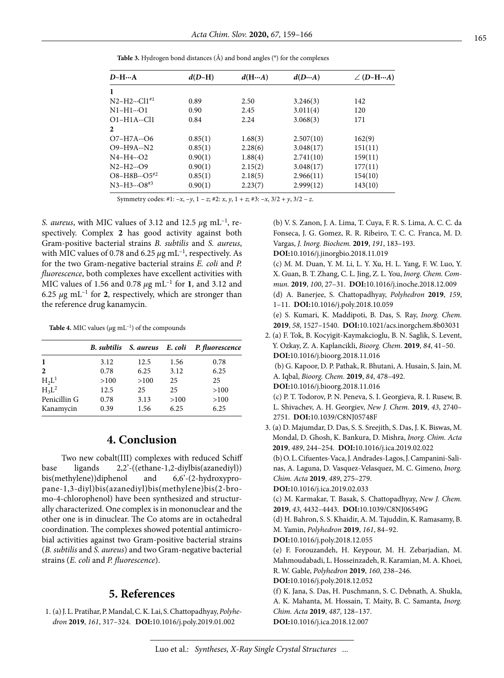| $D-HA$                  | $d(D-H)$ | d(HA)   | d(DA)     | $\angle$ (D-H $\cdots$ A) |
|-------------------------|----------|---------|-----------|---------------------------|
| $\mathbf{1}$            |          |         |           |                           |
| $N2-H2 \cdots C11^{*1}$ | 0.89     | 2.50    | 3.246(3)  | 142                       |
| $N1 - H1 \cdots 01$     | 0.90     | 2.45    | 3.011(4)  | 120                       |
| $O1 - H1A \cdots Cl1$   | 0.84     | 2.24    | 3.068(3)  | 171                       |
| 2                       |          |         |           |                           |
| $O7 - H7A \cdots O6$    | 0.85(1)  | 1.68(3) | 2.507(10) | 162(9)                    |
| $O9 - H9A - N2$         | 0.85(1)  | 2.28(6) | 3.048(17) | 151(11)                   |
| $N4-H4O2$               | 0.90(1)  | 1.88(4) | 2.741(10) | 159(11)                   |
| $N2-H2 \cdots Q9$       | 0.90(1)  | 2.15(2) | 3.048(17) | 177(11)                   |
| $O8-H8B \cdots O5^{*2}$ | 0.85(1)  | 2.18(5) | 2.966(11) | 154(10)                   |
| $N3-H3 \cdots Q8^{*3}$  | 0.90(1)  | 2.23(7) | 2.999(12) | 143(10)                   |
|                         |          |         |           |                           |

**Table 3.** Hydrogen bond distances (Å) and bond angles (°) for the complexes

Symmetry codes: #1: –*x*, –*y*, 1 – *z*; #2: *x*, *y*, 1 + *z*; #3: –*x*, 3/2 + *y*, 3/2 – *z*.

*S. aureus*, with MIC values of 3.12 and 12.5 *μ*g mL–1, respectively. Complex **2** has good activity against both Gram-positive bacterial strains *B. subtilis* and *S. aureus*, with MIC values of 0.78 and 6.25  $\mu$ g mL<sup>-1</sup>, respectively. As for the two Gram-negative bacterial strains *E. coli* and *P. fluorescence*, both complexes have excellent activities with MIC values of 1.56 and 0.78 *μ*g mL–1 for **1**, and 3.12 and 6.25  $\mu$ g mL<sup>-1</sup> for 2, respectively, which are stronger than the reference drug kanamycin.

**Table 4.** MIC values ( $\mu$ g mL<sup>-1</sup>) of the compounds

|                |      |      |      | B. subtilis S. aureus E. coli P. fluorescence |
|----------------|------|------|------|-----------------------------------------------|
| 1              | 3.12 | 12.5 | 1.56 | 0.78                                          |
| $\overline{2}$ | 0.78 | 6.25 | 3.12 | 6.25                                          |
| $H_2L^1$       | >100 | >100 | 25   | 25                                            |
| $H_3L^2$       | 12.5 | 25   | 25   | >100                                          |
| Penicillin G   | 0.78 | 3.13 | >100 | >100                                          |
| Kanamycin      | 0.39 | 1.56 | 6.25 | 6.25                                          |

# **4. Conclusion**

Two new cobalt(III) complexes with reduced Schiff base ligands 2,2'-((ethane-1,2-diylbis(azanediyl)) bis(methylene))diphenol and 6,6'-(2-hydroxypropane-1,3-diyl)bis(azanediyl)bis(methylene)bis(2-bromo-4-chlorophenol) have been synthesized and structurally characterized. One complex is in mononuclear and the other one is in dinuclear. The Co atoms are in octahedral coordination. The complexes showed potential antimicrobial activities against two Gram-positive bacterial strains (*B. subtilis* and *S. aureus*) and two Gram-negative bacterial strains (*E. coli* and *P. fluorescence*).

# **5. References**

 1. (a) J. L. Pratihar, P. Mandal, C. K. Lai, S. Chattopadhyay, *Polyhedron* **2019**, *161*, 317–324. **DOI:**[10.1016/j.poly.2019.01.002](https://doi.org/10.1016/j.poly.2019.01.002)

 (b) V. S. Zanon, J. A. Lima, T. Cuya, F. R. S. Lima, A. C. C. da Fonseca, J. G. Gomez, R. R. Ribeiro, T. C. C. Franca, M. D. Vargas, *J. Inorg. Biochem.* **2019**, *191*, 183–193. **DOI:**[10.1016/j.jinorgbio.2018.11.019](https://doi.org/10.1016/j.jinorgbio.2018.11.019) (c) M. M. Duan, Y. M. Li, L. Y. Xu, H. L. Yang, F. W. Luo, Y. X. Guan, B. T. Zhang, C. L. Jing, Z. L. You, *Inorg. Chem. Commun.* **2019**, *100*, 27–31. **DOI:**[10.1016/j.inoche.2018.12.009](https://doi.org/10.1016/j.inoche.2018.12.009) (d) A. Banerjee, S. Chattopadhyay, *Polyhedron* **2019**, *159*, 1–11. **DOI:**[10.1016/j.poly.2018.10.059](https://doi.org/10.1016/j.poly.2018.10.059) (e) S. Kumari, K. Maddipoti, B. Das, S. Ray, *Inorg. Chem.* **2019**, *58*, 1527–1540. **DOI:**[10.1021/acs.inorgchem.8b03031](https://doi.org/10.1021/acs.inorgchem.8b03031) 2. (a) F. Tok, B. Kocyigit-Kaymakcioglu, B. N. Saglik, S. Levent, Y. Ozkay, Z. A. Kaplancikli, *Bioorg. Chem.* **2019**, *84*, 41–50. **DOI:**[10.1016/j.bioorg.2018.11.016](https://doi.org/10.1016/j.bioorg.2018.11.016) (b) G. Kapoor, D. P. Pathak, R. Bhutani, A. Husain, S. Jain, M. A. Iqbal, *Bioorg. Chem.* **2019**, *84*, 478–492. **DOI:**[10.1016/j.bioorg.2018.11.016](https://doi.org/10.1016/j.bioorg.2018.11.016) (c) P. T. Todorov, P. N. Peneva, S. I. Georgieva, R. I. Rusew, B. L. Shivachev, A. H. Georgiev, *New J. Chem.* **2019**, *43*, 2740– 2751. **DOI:**[10.1039/C8NJ05748F](https://doi.org/10.1039/C8NJ05748F)

 3. (a) D. Majumdar, D. Das, S. S. Sreejith, S. Das, J. K. Biswas, M. Mondal, D. Ghosh, K. Bankura, D. Mishra, *Inorg. Chim. Acta* **2019**, *489*, 244–254. **DOI:**[10.1016/j.ica.2019.02.022](https://doi.org/10.1016/j.ica.2019.02.022)

 (b) O. L. Cifuentes-Vaca, J. Andrades-Lagos, J. Campanini-Salinas, A. Laguna, D. Vasquez-Velasquez, M. C. Gimeno, *Inorg. Chim. Acta* **2019**, *489*, 275–279.

**DOI:**[10.1016/j.ica.2019.02.033](https://doi.org/10.1016/j.ica.2019.02.033)

 (c) M. Karmakar, T. Basak, S. Chattopadhyay, *New J. Chem.* **2019**, *43*, 4432–4443. **DOI:**[10.1039/C8NJ06549G](https://doi.org/10.1039/C8NJ06549G)

 (d) H. Bahron, S. S. Khaidir, A. M. Tajuddin, K. Ramasamy, B. M. Yamin, *Polyhedron* **2019**, *161*, 84–92.

**DOI:**[10.1016/j.poly.2018.12.055](https://doi.org/10.1016/j.poly.2018.12.055)

 (e) F. Forouzandeh, H. Keypour, M. H. Zebarjadian, M. Mahmoudabadi, L. Hosseinzadeh, R. Karamian, M. A. Khoei, R. W. Gable, *Polyhedron* **2019**, *160*, 238–246.

**DOI:**[10.1016/j.poly.2018.12.052](https://doi.org/10.1016/j.poly.2018.12.052)

 (f) K. Jana, S. Das, H. Puschmann, S. C. Debnath, A. Shukla, A. K. Mahanta, M. Hossain, T. Maity, B. C. Samanta, *Inorg. Chim. Acta* **2019**, *487*, 128–137. **DOI:**[10.1016/j.ica.2018.12.007](https://doi.org/10.1016/j.ica.2018.12.007)